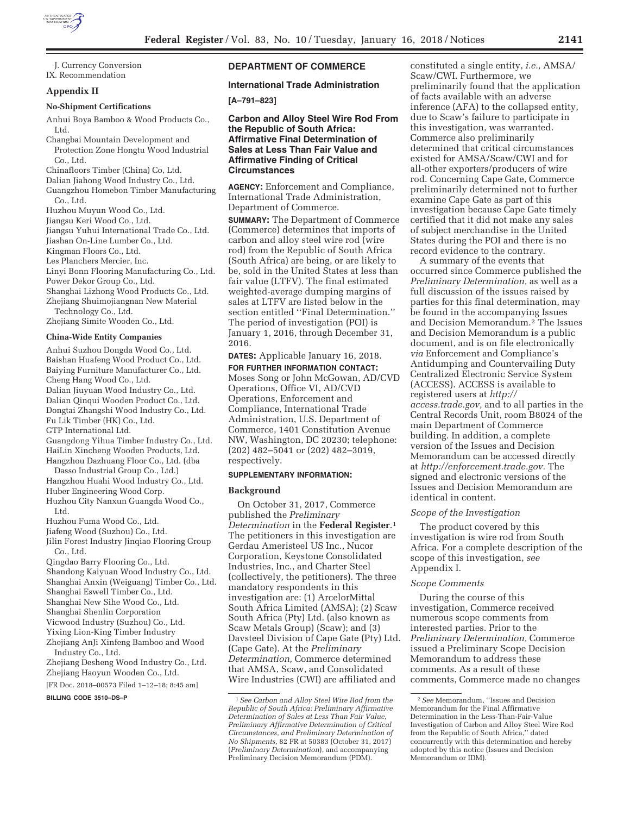

J. Currency Conversion IX. Recommendation

### **Appendix II**

#### **No-Shipment Certifications**

Anhui Boya Bamboo & Wood Products Co., Ltd.

Changbai Mountain Development and Protection Zone Hongtu Wood Industrial Co., Ltd.

Chinafloors Timber (China) Co, Ltd.

Dalian Jiahong Wood Industry Co., Ltd.

Guangzhou Homebon Timber Manufacturing Co., Ltd.

Huzhou Muyun Wood Co., Ltd.

Jiangsu Keri Wood Co., Ltd.

Jiangsu Yuhui International Trade Co., Ltd.

Jiashan On-Line Lumber Co., Ltd.

Kingman Floors Co., Ltd.

Les Planchers Mercier, Inc.

Linyi Bonn Flooring Manufacturing Co., Ltd.

Power Dekor Group Co., Ltd. Shanghai Lizhong Wood Products Co., Ltd.

Zhejiang Shuimojiangnan New Material

Technology Co., Ltd. Zhejiang Simite Wooden Co., Ltd.

#### **China-Wide Entity Companies**

Anhui Suzhou Dongda Wood Co., Ltd. Baishan Huafeng Wood Product Co., Ltd. Baiying Furniture Manufacturer Co., Ltd. Cheng Hang Wood Co., Ltd. Dalian Jiuyuan Wood Industry Co., Ltd. Dalian Qinqui Wooden Product Co., Ltd. Dongtai Zhangshi Wood Industry Co., Ltd. Fu Lik Timber (HK) Co., Ltd. GTP International Ltd. Guangdong Yihua Timber Industry Co., Ltd. HaiLin Xincheng Wooden Products, Ltd. Hangzhou Dazhuang Floor Co., Ltd. (dba Dasso Industrial Group Co., Ltd.) Hangzhou Huahi Wood Industry Co., Ltd. Huber Engineering Wood Corp. Huzhou City Nanxun Guangda Wood Co., Ltd. Huzhou Fuma Wood Co., Ltd. Jiafeng Wood (Suzhou) Co., Ltd. Jilin Forest Industry Jinqiao Flooring Group Co., Ltd. Qingdao Barry Flooring Co., Ltd. Shandong Kaiyuan Wood Industry Co., Ltd.

Shanghai Anxin (Weiguang) Timber Co., Ltd.

- Shanghai Eswell Timber Co., Ltd.
- Shanghai New Sihe Wood Co., Ltd.
- Shanghai Shenlin Corporation
- Vicwood Industry (Suzhou) Co., Ltd.
- Yixing Lion-King Timber Industry
- Zhejiang AnJi Xinfeng Bamboo and Wood

Industry Co., Ltd. Zhejiang Desheng Wood Industry Co., Ltd.

Zhejiang Haoyun Wooden Co., Ltd.

[FR Doc. 2018–00573 Filed 1–12–18; 8:45 am]

**BILLING CODE 3510–DS–P** 

# **DEPARTMENT OF COMMERCE**

## **International Trade Administration**

# **[A–791–823]**

**Carbon and Alloy Steel Wire Rod From the Republic of South Africa: Affirmative Final Determination of Sales at Less Than Fair Value and Affirmative Finding of Critical Circumstances** 

**AGENCY:** Enforcement and Compliance, International Trade Administration, Department of Commerce.

**SUMMARY:** The Department of Commerce (Commerce) determines that imports of carbon and alloy steel wire rod (wire rod) from the Republic of South Africa (South Africa) are being, or are likely to be, sold in the United States at less than fair value (LTFV). The final estimated weighted-average dumping margins of sales at LTFV are listed below in the section entitled ''Final Determination.'' The period of investigation (POI) is January 1, 2016, through December 31, 2016.

**DATES:** Applicable January 16, 2018.

**FOR FURTHER INFORMATION CONTACT:**  Moses Song or John McGowan, AD/CVD Operations, Office VI, AD/CVD Operations, Enforcement and Compliance, International Trade Administration, U.S. Department of Commerce, 1401 Constitution Avenue NW, Washington, DC 20230; telephone: (202) 482–5041 or (202) 482–3019, respectively.

#### **SUPPLEMENTARY INFORMATION:**

### **Background**

On October 31, 2017, Commerce published the *Preliminary Determination* in the **Federal Register**.1 The petitioners in this investigation are Gerdau Ameristeel US Inc., Nucor Corporation, Keystone Consolidated Industries, Inc., and Charter Steel (collectively, the petitioners). The three mandatory respondents in this investigation are: (1) ArcelorMittal South Africa Limited (AMSA); (2) Scaw South Africa (Pty) Ltd. (also known as Scaw Metals Group) (Scaw); and (3) Davsteel Division of Cape Gate (Pty) Ltd. (Cape Gate). At the *Preliminary Determination,* Commerce determined that AMSA, Scaw, and Consolidated Wire Industries (CWI) are affiliated and

constituted a single entity, *i.e.,* AMSA/ Scaw/CWI. Furthermore, we preliminarily found that the application of facts available with an adverse inference (AFA) to the collapsed entity, due to Scaw's failure to participate in this investigation, was warranted. Commerce also preliminarily determined that critical circumstances existed for AMSA/Scaw/CWI and for all-other exporters/producers of wire rod. Concerning Cape Gate, Commerce preliminarily determined not to further examine Cape Gate as part of this investigation because Cape Gate timely certified that it did not make any sales of subject merchandise in the United States during the POI and there is no record evidence to the contrary.

A summary of the events that occurred since Commerce published the *Preliminary Determination,* as well as a full discussion of the issues raised by parties for this final determination, may be found in the accompanying Issues and Decision Memorandum.2 The Issues and Decision Memorandum is a public document, and is on file electronically *via* Enforcement and Compliance's Antidumping and Countervailing Duty Centralized Electronic Service System (ACCESS). ACCESS is available to registered users at *http:// access.trade.gov,* and to all parties in the Central Records Unit, room B8024 of the main Department of Commerce building. In addition, a complete version of the Issues and Decision Memorandum can be accessed directly at *http://enforcement.trade.gov.* The signed and electronic versions of the Issues and Decision Memorandum are identical in content.

#### *Scope of the Investigation*

The product covered by this investigation is wire rod from South Africa. For a complete description of the scope of this investigation, *see*  Appendix I.

#### *Scope Comments*

During the course of this investigation, Commerce received numerous scope comments from interested parties. Prior to the *Preliminary Determination,* Commerce issued a Preliminary Scope Decision Memorandum to address these comments. As a result of these comments, Commerce made no changes

<sup>1</sup>*See Carbon and Alloy Steel Wire Rod from the Republic of South Africa: Preliminary Affirmative Determination of Sales at Less Than Fair Value, Preliminary Affirmative Determination of Critical Circumstances, and Preliminary Determination of No Shipments,* 82 FR at 50383 (October 31, 2017) (*Preliminary Determination*), and accompanying Preliminary Decision Memorandum (PDM).

<sup>2</sup>*See* Memorandum, ''Issues and Decision Memorandum for the Final Affirmative Determination in the Less-Than-Fair-Value Investigation of Carbon and Alloy Steel Wire Rod from the Republic of South Africa,'' dated concurrently with this determination and hereby adopted by this notice (Issues and Decision Memorandum or IDM).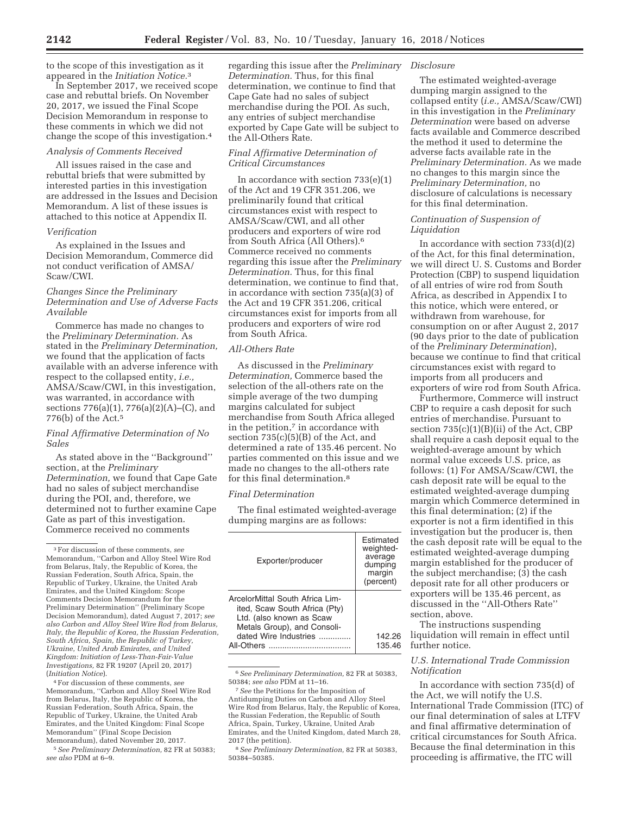to the scope of this investigation as it appeared in the *Initiation Notice.*3

In September 2017, we received scope case and rebuttal briefs. On November 20, 2017, we issued the Final Scope Decision Memorandum in response to these comments in which we did not change the scope of this investigation.4

### *Analysis of Comments Received*

All issues raised in the case and rebuttal briefs that were submitted by interested parties in this investigation are addressed in the Issues and Decision Memorandum. A list of these issues is attached to this notice at Appendix II.

#### *Verification*

As explained in the Issues and Decision Memorandum, Commerce did not conduct verification of AMSA/ Scaw/CWI.

## *Changes Since the Preliminary Determination and Use of Adverse Facts Available*

Commerce has made no changes to the *Preliminary Determination.* As stated in the *Preliminary Determination,*  we found that the application of facts available with an adverse inference with respect to the collapsed entity, *i.e.,*  AMSA/Scaw/CWI, in this investigation, was warranted, in accordance with sections 776(a)(1), 776(a)(2)(A)–(C), and 776(b) of the Act.5

## *Final Affirmative Determination of No Sales*

As stated above in the ''Background'' section, at the *Preliminary Determination,* we found that Cape Gate had no sales of subject merchandise during the POI, and, therefore, we determined not to further examine Cape Gate as part of this investigation. Commerce received no comments

4For discussion of these comments, *see*  Memorandum, ''Carbon and Alloy Steel Wire Rod from Belarus, Italy, the Republic of Korea, the Russian Federation, South Africa, Spain, the Republic of Turkey, Ukraine, the United Arab Emirates, and the United Kingdom: Final Scope Memorandum'' (Final Scope Decision Memorandum), dated November 20, 2017.

5*See Preliminary Determination,* 82 FR at 50383; *see also* PDM at 6–9.

regarding this issue after the *Preliminary Determination.* Thus, for this final determination, we continue to find that Cape Gate had no sales of subject merchandise during the POI. As such, any entries of subject merchandise exported by Cape Gate will be subject to the All-Others Rate.

## *Final Affirmative Determination of Critical Circumstances*

In accordance with section 733(e)(1) of the Act and 19 CFR 351.206, we preliminarily found that critical circumstances exist with respect to AMSA/Scaw/CWI, and all other producers and exporters of wire rod from South Africa (All Others).6 Commerce received no comments regarding this issue after the *Preliminary Determination.* Thus, for this final determination, we continue to find that, in accordance with section 735(a)(3) of the Act and 19 CFR 351.206, critical circumstances exist for imports from all producers and exporters of wire rod from South Africa.

## *All-Others Rate*

As discussed in the *Preliminary Determination,* Commerce based the selection of the all-others rate on the simple average of the two dumping margins calculated for subject merchandise from South Africa alleged in the petition, $7$  in accordance with section  $735(c)(5)(B)$  of the Act, and determined a rate of 135.46 percent. No parties commented on this issue and we made no changes to the all-others rate for this final determination.8

## *Final Determination*

The final estimated weighted-average dumping margins are as follows:

| Exporter/producer                                                                                                                                                  | Fstimated<br>weighted-<br>average<br>dumping<br>margin<br>(percent) |
|--------------------------------------------------------------------------------------------------------------------------------------------------------------------|---------------------------------------------------------------------|
| ArcelorMittal South Africa Lim-<br>ited, Scaw South Africa (Pty)<br>Ltd. (also known as Scaw<br>Metals Group), and Consoli-<br>dated Wire Industries<br>All-Others | 142.26<br>135.46                                                    |

6*See Preliminary Determination,* 82 FR at 50383, 50384; *see also* PDM at 11–16.

#### *Disclosure*

The estimated weighted-average dumping margin assigned to the collapsed entity (*i.e.,* AMSA/Scaw/CWI) in this investigation in the *Preliminary Determination* were based on adverse facts available and Commerce described the method it used to determine the adverse facts available rate in the *Preliminary Determination.* As we made no changes to this margin since the *Preliminary Determination,* no disclosure of calculations is necessary for this final determination.

## *Continuation of Suspension of Liquidation*

In accordance with section  $733(d)(2)$ of the Act, for this final determination, we will direct U. S. Customs and Border Protection (CBP) to suspend liquidation of all entries of wire rod from South Africa, as described in Appendix I to this notice, which were entered, or withdrawn from warehouse, for consumption on or after August 2, 2017 (90 days prior to the date of publication of the *Preliminary Determination*), because we continue to find that critical circumstances exist with regard to imports from all producers and exporters of wire rod from South Africa.

Furthermore, Commerce will instruct CBP to require a cash deposit for such entries of merchandise. Pursuant to section 735(c)(1)(B)(ii) of the Act, CBP shall require a cash deposit equal to the weighted-average amount by which normal value exceeds U.S. price, as follows: (1) For AMSA/Scaw/CWI, the cash deposit rate will be equal to the estimated weighted-average dumping margin which Commerce determined in this final determination; (2) if the exporter is not a firm identified in this investigation but the producer is, then the cash deposit rate will be equal to the estimated weighted-average dumping margin established for the producer of the subject merchandise; (3) the cash deposit rate for all other producers or exporters will be 135.46 percent, as discussed in the ''All-Others Rate'' section, above.

The instructions suspending liquidation will remain in effect until further notice.

## *U.S. International Trade Commission Notification*

In accordance with section 735(d) of the Act, we will notify the U.S. International Trade Commission (ITC) of our final determination of sales at LTFV and final affirmative determination of critical circumstances for South Africa. Because the final determination in this proceeding is affirmative, the ITC will

<sup>3</sup>For discussion of these comments, *see*  Memorandum, ''Carbon and Alloy Steel Wire Rod from Belarus, Italy, the Republic of Korea, the Russian Federation, South Africa, Spain, the Republic of Turkey, Ukraine, the United Arab Emirates, and the United Kingdom: Scope Comments Decision Memorandum for the Preliminary Determination'' (Preliminary Scope Decision Memorandum), dated August 7, 2017; *see also Carbon and Alloy Steel Wire Rod from Belarus, Italy, the Republic of Korea, the Russian Federation, South Africa, Spain, the Republic of Turkey, Ukraine, United Arab Emirates, and United Kingdom: Initiation of Less-Than-Fair-Value Investigations,* 82 FR 19207 (April 20, 2017) (*Initiation Notice*).

<sup>7</sup>*See* the Petitions for the Imposition of Antidumping Duties on Carbon and Alloy Steel Wire Rod from Belarus, Italy, the Republic of Korea, the Russian Federation, the Republic of South Africa, Spain, Turkey, Ukraine, United Arab Emirates, and the United Kingdom, dated March 28, 2017 (the petition).

<sup>8</sup>*See Preliminary Determination,* 82 FR at 50383, 50384–50385.